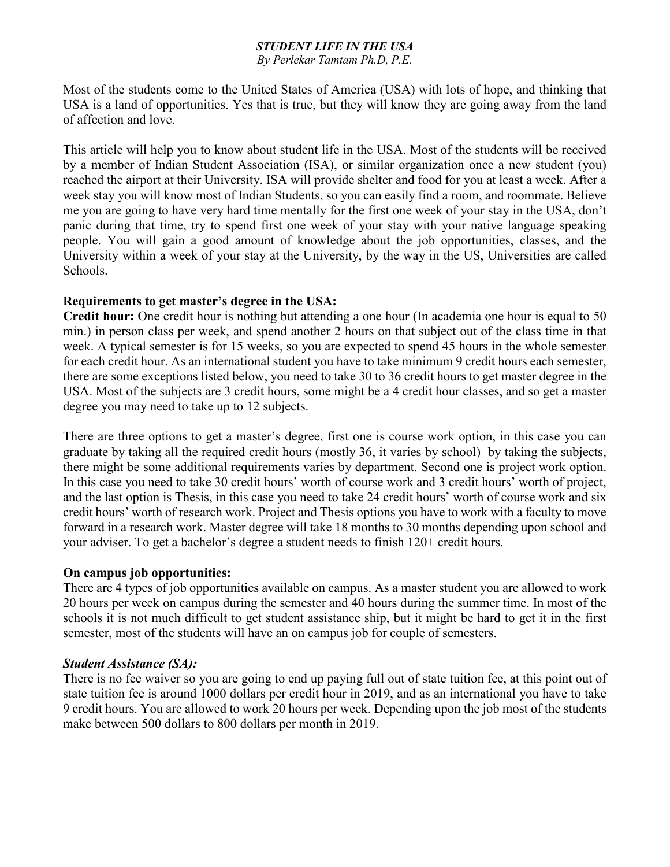# *STUDENT LIFE IN THE USA*

*By Perlekar Tamtam Ph.D, P.E.*

Most of the students come to the United States of America (USA) with lots of hope, and thinking that USA is a land of opportunities. Yes that is true, but they will know they are going away from the land of affection and love.

This article will help you to know about student life in the USA. Most of the students will be received by a member of Indian Student Association (ISA), or similar organization once a new student (you) reached the airport at their University. ISA will provide shelter and food for you at least a week. After a week stay you will know most of Indian Students, so you can easily find a room, and roommate. Believe me you are going to have very hard time mentally for the first one week of your stay in the USA, don't panic during that time, try to spend first one week of your stay with your native language speaking people. You will gain a good amount of knowledge about the job opportunities, classes, and the University within a week of your stay at the University, by the way in the US, Universities are called Schools.

## **Requirements to get master's degree in the USA:**

**Credit hour:** One credit hour is nothing but attending a one hour (In academia one hour is equal to 50 min.) in person class per week, and spend another 2 hours on that subject out of the class time in that week. A typical semester is for 15 weeks, so you are expected to spend 45 hours in the whole semester for each credit hour. As an international student you have to take minimum 9 credit hours each semester, there are some exceptions listed below, you need to take 30 to 36 credit hours to get master degree in the USA. Most of the subjects are 3 credit hours, some might be a 4 credit hour classes, and so get a master degree you may need to take up to 12 subjects.

There are three options to get a master's degree, first one is course work option, in this case you can graduate by taking all the required credit hours (mostly 36, it varies by school) by taking the subjects, there might be some additional requirements varies by department. Second one is project work option. In this case you need to take 30 credit hours' worth of course work and 3 credit hours' worth of project, and the last option is Thesis, in this case you need to take 24 credit hours' worth of course work and six credit hours' worth of research work. Project and Thesis options you have to work with a faculty to move forward in a research work. Master degree will take 18 months to 30 months depending upon school and your adviser. To get a bachelor's degree a student needs to finish 120+ credit hours.

## **On campus job opportunities:**

There are 4 types of job opportunities available on campus. As a master student you are allowed to work 20 hours per week on campus during the semester and 40 hours during the summer time. In most of the schools it is not much difficult to get student assistance ship, but it might be hard to get it in the first semester, most of the students will have an on campus job for couple of semesters.

## *Student Assistance (SA):*

There is no fee waiver so you are going to end up paying full out of state tuition fee, at this point out of state tuition fee is around 1000 dollars per credit hour in 2019, and as an international you have to take 9 credit hours. You are allowed to work 20 hours per week. Depending upon the job most of the students make between 500 dollars to 800 dollars per month in 2019.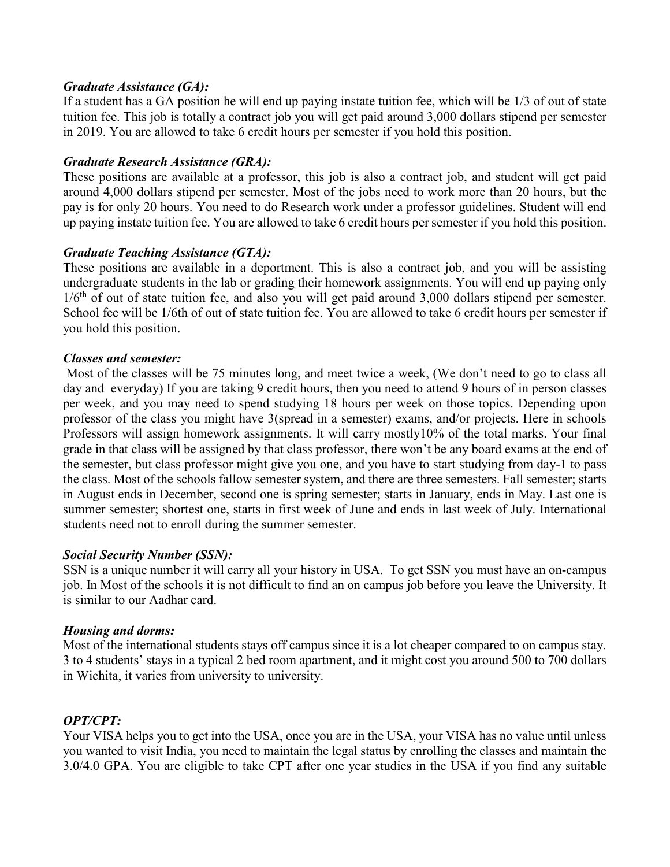## *Graduate Assistance (GA):*

If a student has a GA position he will end up paying instate tuition fee, which will be 1/3 of out of state tuition fee. This job is totally a contract job you will get paid around 3,000 dollars stipend per semester in 2019. You are allowed to take 6 credit hours per semester if you hold this position.

### *Graduate Research Assistance (GRA):*

These positions are available at a professor, this job is also a contract job, and student will get paid around 4,000 dollars stipend per semester. Most of the jobs need to work more than 20 hours, but the pay is for only 20 hours. You need to do Research work under a professor guidelines. Student will end up paying instate tuition fee. You are allowed to take 6 credit hours per semester if you hold this position.

### *Graduate Teaching Assistance (GTA):*

These positions are available in a deportment. This is also a contract job, and you will be assisting undergraduate students in the lab or grading their homework assignments. You will end up paying only  $1/6<sup>th</sup>$  of out of state tuition fee, and also you will get paid around 3,000 dollars stipend per semester. School fee will be 1/6th of out of state tuition fee. You are allowed to take 6 credit hours per semester if you hold this position.

### *Classes and semester:*

Most of the classes will be 75 minutes long, and meet twice a week, (We don't need to go to class all day and everyday) If you are taking 9 credit hours, then you need to attend 9 hours of in person classes per week, and you may need to spend studying 18 hours per week on those topics. Depending upon professor of the class you might have 3(spread in a semester) exams, and/or projects. Here in schools Professors will assign homework assignments. It will carry mostly10% of the total marks. Your final grade in that class will be assigned by that class professor, there won't be any board exams at the end of the semester, but class professor might give you one, and you have to start studying from day-1 to pass the class. Most of the schools fallow semester system, and there are three semesters. Fall semester; starts in August ends in December, second one is spring semester; starts in January, ends in May. Last one is summer semester; shortest one, starts in first week of June and ends in last week of July. International students need not to enroll during the summer semester.

## *Social Security Number (SSN):*

SSN is a unique number it will carry all your history in USA. To get SSN you must have an on-campus job. In Most of the schools it is not difficult to find an on campus job before you leave the University. It is similar to our Aadhar card.

#### *Housing and dorms:*

Most of the international students stays off campus since it is a lot cheaper compared to on campus stay. 3 to 4 students' stays in a typical 2 bed room apartment, and it might cost you around 500 to 700 dollars in Wichita, it varies from university to university.

## *OPT/CPT:*

Your VISA helps you to get into the USA, once you are in the USA, your VISA has no value until unless you wanted to visit India, you need to maintain the legal status by enrolling the classes and maintain the 3.0/4.0 GPA. You are eligible to take CPT after one year studies in the USA if you find any suitable